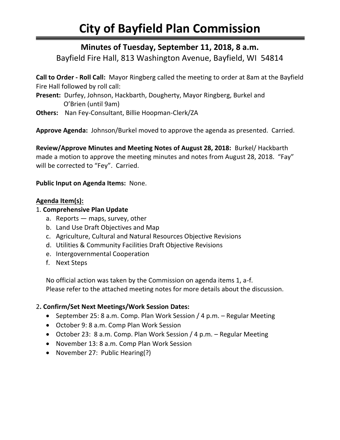# **City of Bayfield Plan Commission**

## **Minutes of Tuesday, September 11, 2018, 8 a.m.**

Bayfield Fire Hall, 813 Washington Avenue, Bayfield, WI 54814

**Call to Order - Roll Call:** Mayor Ringberg called the meeting to order at 8am at the Bayfield Fire Hall followed by roll call:

**Present:** Durfey, Johnson, Hackbarth, Dougherty, Mayor Ringberg, Burkel and O'Brien (until 9am)

**Others:** Nan Fey-Consultant, Billie Hoopman-Clerk/ZA

**Approve Agenda:** Johnson/Burkel moved to approve the agenda as presented. Carried.

**Review/Approve Minutes and Meeting Notes of August 28, 2018:** Burkel/ Hackbarth made a motion to approve the meeting minutes and notes from August 28, 2018. "Fay" will be corrected to "Fey". Carried.

### **Public Input on Agenda Items:** None.

### **Agenda Item(s):**

### 1. **Comprehensive Plan Update**

- a. Reports maps, survey, other
- b. Land Use Draft Objectives and Map
- c. Agriculture, Cultural and Natural Resources Objective Revisions
- d. Utilities & Community Facilities Draft Objective Revisions
- e. Intergovernmental Cooperation
- f. Next Steps

No official action was taken by the Commission on agenda items 1, a-f. Please refer to the attached meeting notes for more details about the discussion.

#### 2**. Confirm/Set Next Meetings/Work Session Dates:**

- September 25: 8 a.m. Comp. Plan Work Session / 4 p.m. Regular Meeting
- October 9: 8 a.m. Comp Plan Work Session
- October 23: 8 a.m. Comp. Plan Work Session / 4 p.m. Regular Meeting
- November 13: 8 a.m. Comp Plan Work Session
- November 27: Public Hearing(?)